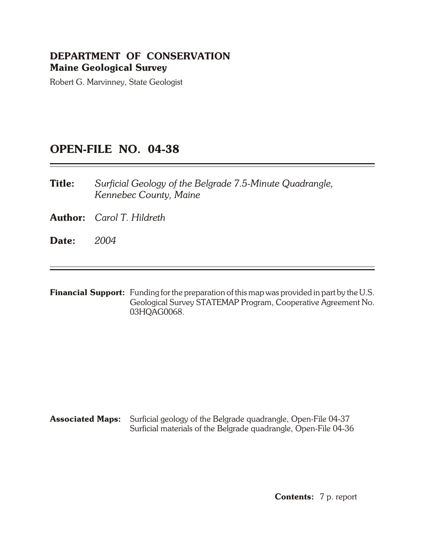# **DEPARTMENT OF CONSERVATION Maine Geological Survey**

Robert G. Marvinney, State Geologist

# **OPEN- FILE NO. 04-38**

**Title:** Surficial Geology of the Belgrade 7.5-Minute Quadrangle, *Kennebec County, Maine*

**Author:** *Carol T. Hildreth*

**Date:** *2004*

**Financial Support:** Funding for the preparation of this map was provided in part by the U.S. Geological Survey STATEMAP Program, Cooperative Agreement No. 03HQAG0068.

**Associated Maps:** Surficial geology of the Belgrade quadrangle, Open-File 04-37 Surficial materials of the Belgrade quadrangle, Open-File 04-36

**Contents:** 7 p. report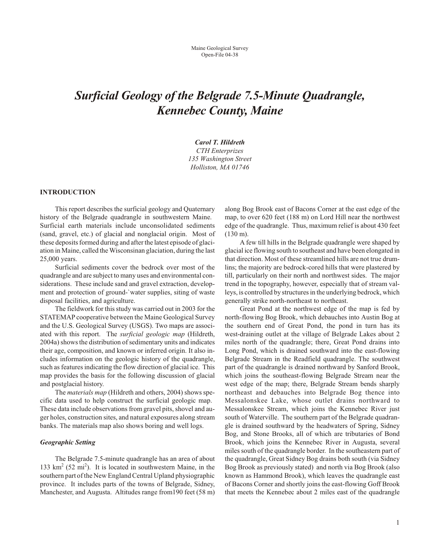# *Surficial Geology of the Belgrade 7.5-Minute Quadrangle, Kennebec County, Maine*

*Carol T. Hildreth CTH Enterprizes 135 Wash ing ton Street Holliston, MA 01746*

### **INTRODUCTION**

This report describes the surficial geology and Quaternary history of the Belgrade quadrangle in southwestern Maine. Surficial earth materials include unconsolidated sediments (sand, gravel, etc.) of glacial and nonglacial origin. Most of these deposits formed during and after the latest episode of glaciation in Maine, called the Wisconsinan glaciation, during the last 25,000 years.

Surficial sediments cover the bedrock over most of the quadrangle and are subject to many uses and environmental considerations. These include sand and gravel extraction, development and protection of ground-`water supplies, siting of waste disposal facilities, and agriculture.

The field work for this study was carried out in 2003 for the STATEMAP cooperative between the Maine Geological Survey and the U.S. Geological Survey (USGS). Two maps are associated with this report. The *surficial geologic map* (Hildreth, 2004a) shows the distribution of sedimentary units and indicates their age, composition, and known or inferred origin. It also includes information on the geologic history of the quadrangle, such as features indicating the flow direction of glacial ice. This map provides the basis for the following discussion of glacial and postglacial history.

The *materials map* (Hildreth and others, 2004) shows specific data used to help construct the surficial geologic map. These data include observations from gravel pits, shovel and auger holes, construction sites, and natural exposures along stream banks. The materials map also shows boring and well logs.

# **Geographic Setting**

The Belgrade 7.5-minute quadrangle has an area of about 133  $\text{km}^2$  (52 mi<sup>2</sup>). It is located in southwestern Maine, in the southern part of the New England Central Upland physiographic province. It includes parts of the towns of Belgrade, Sidney, Manchester, and Augusta. Altitudes range from 190 feet (58 m) along Bog Brook east of Bacons Corner at the east edge of the map, to over 620 feet (188 m) on Lord Hill near the northwest edge of the quadrangle. Thus, maximum relief is about 430 feet (130 m).

A few till hills in the Belgrade quadrangle were shaped by glacial ice flowing south to southeast and have been elongated in that direction. Most of these streamlined hills are not true drumlins; the majority are bedrock-cored hills that were plastered by till, particularly on their north and northwest sides. The major trend in the topography, however, especially that of stream valleys, is controlled by structures in the underlying bedrock, which generally strike north-northeast to northeast.

Great Pond at the northwest edge of the map is fed by north-flowing Bog Brook, which debauches into Austin Bog at the southern end of Great Pond, the pond in turn has its west-draining outlet at the village of Belgrade Lakes about 2 miles north of the quadrangle; there, Great Pond drains into Long Pond, which is drained southward into the east-flowing Belgrade Stream in the Readfield quadrangle. The southwest part of the quadrangle is drained northward by Sanford Brook, which joins the southeast-flowing Belgrade Stream near the west edge of the map; there, Belgrade Stream bends sharply northeast and debauches into Belgrade Bog thence into Messalonskee Lake, whose outlet drains northward to Messalonskee Stream, which joins the Kennebec River just south of Waterville. The southern part of the Belgrade quadrangle is drained southward by the headwaters of Spring, Sidney Bog, and Stone Brooks, all of which are tributaries of Bond Brook, which joins the Kennebec River in Augusta, several miles south of the quadrangle border. In the south eastern part of the quadrangle, Great Sidney Bog drains both south (via Sidney Bog Brook as previously stated) and north via Bog Brook (also known as Hammond Brook), which leaves the quadrangle east of Bacons Corner and shortly joins the east-flowing Goff Brook that meets the Kennebec about 2 miles east of the quadrangle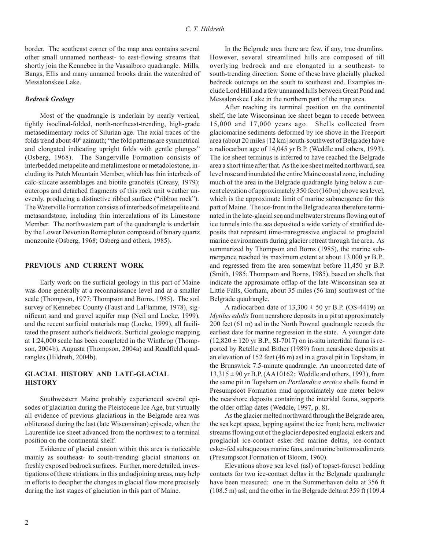border. The southeast corner of the map area contains several other small unnamed northeast- to east-flowing streams that shortly join the Kennebec in the Vassalboro quadrangle. Mills, Bangs, Ellis and many unnamed brooks drain the watershed of Messalonskee Lake.

# **Bedrock Geology**

Most of the quadrangle is underlain by nearly vertical, tightly isoclinal-folded, north-northeast-trending, high-grade metasedimentary rocks of Silurian age. The axial traces of the folds trend about 40° azimuth; "the fold patterns are symmetrical and elongated indicating upright folds with gentle plunges" (Osberg, 1968). The Sangerville Formation consists of interbedded metapelite and metalimestone or metadolostone, in cluding its Patch Mountain Member, which has thin interbeds of calc-silicate assemblages and biotite granofels (Creasy, 1979); outcrops and detached fragments of this rock unit weather unevenly, producing a distinctive ribbed surface ("ribbon rock"). The Waterville Formation consists of interbeds of metapelite and metasandstone, including thin intercalations of its Limestone Member. The northwestern part of the quadrangle is underlain by the Lower Devonian Rome pluton composed of binary quartz monzonite (Osberg, 1968; Osberg and others, 1985).

### **PREVIOUS AND CURRENT WORK**

Early work on the surficial geology in this part of Maine was done generally at a reconnaissance level and at a smaller scale (Thompson, 1977; Thompson and Borns, 1985). The soil survey of Kennebec County (Faust and LaFlamme, 1978), significant sand and gravel aquifer map (Neil and Locke, 1999), and the recent surficial materials map (Locke, 1999), all facilitated the present author's fieldwork. Surficial geologic mapping at 1:24,000 scale has been completed in the Winthrop (Thompson, 2004b), Augusta (Thompson, 2004a) and Readfield quadrangles (Hildreth, 2004b).

# **GLACIAL HISTORY AND LATE-GLACIAL HIS TORY**

Southwestern Maine probably experienced several episodes of glaciation during the Pleistocene Ice Age, but virtually all evidence of previous glaciations in the Belgrade area was obliterated during the last (late Wisconsinan) episode, when the Laurentide ice sheet advanced from the northwest to a terminal position on the continental shelf.

Evidence of glacial erosion within this area is noticeable mainly as southeast- to south-trending glacial striations on freshly exposed bedrock surfaces. Further, more detailed, investigations of these striations, in this and adjoining areas, may help in efforts to decipher the changes in glacial flow more precisely during the last stages of glaciation in this part of Maine.

In the Belgrade area there are few, if any, true drumlins. However, several streamlined hills are composed of till overlying bedrock and are elongated in a southeast- to south-trending direction. Some of these have glacially plucked bedrock outcrops on the south to southeast end. Examples include Lord Hill and a few un named hills between Great Pond and Messalonskee Lake in the northern part of the map area.

After reaching its terminal position on the continental shelf, the late Wisconsinan ice sheet began to recede between 15,000 and 17,000 years ago. Shells collected from glaciomarine sediments deformed by ice shove in the Freeport area (about 20 miles [12 km] south-southwest of Belgrade) have a radiocarbon age of 14,045 yr B.P. (Weddle and others, 1993). The ice sheet terminus is inferred to have reached the Belgrade area a short time after that. As the ice sheet melted northward, sea level rose and inundated the entire Maine coastal zone, including much of the area in the Belgrade quadrangle lying below a current elevation of approximately 350 feet (160 m) above sea level, which is the approximate limit of marine submergence for this part of Maine. The ice-front in the Belgrade area therefore terminated in the late-glacial sea and meltwater streams flowing out of ice tunnels into the sea deposited a wide variety of stratified deposits that represent time-transgressive englacial to proglacial marine environments during glacier retreat through the area. As summarized by Thompson and Borns (1985), the marine submergence reached its maximum extent at about 13,000 yr B.P., and regressed from the area somewhat before 11,450 yr B.P. (Smith, 1985; Thompson and Borns, 1985), based on shells that indicate the approximate offlap of the late-Wisconsinan sea at Little Falls, Gorham, about 35 miles (56 km) southwest of the Belgrade quadrangle.

A radiocarbon date of  $13,300 \pm 50$  yr B.P. (OS-4419) on *Mytilus edulis* from nearshore deposits in a pit at approximately  $200$  feet (61 m) asl in the North Pownal quadrangle records the earliest date for marine regression in the state. A younger date  $(12,820 \pm 120 \text{ yr B.P., SI-7017})$  on in-situ intertidal fauna is reported by Retelle and Bither (1989) from nearshore deposits at an elevation of  $152$  feet (46 m) asl in a gravel pit in Topsham, in the Brunswick 7.5-minute quadrangle. An uncorrected date of  $13,315 \pm 90$  yr B.P. (AA10162: Weddle and others, 1993), from the same pit in Topsham on *Portlandica arctica* shells found in Presumpscot Formation mud approximately one meter below the nearshore deposits containing the interidal fauna, supports the older offlap dates (Weddle, 1997, p. 8).

As the glacier melted northward through the Belgrade area, the sea kept apace, lapping against the ice front; here, meltwater streams flowing out of the glacier deposited englacial eskers and proglacial ice-contact esker-fed marine deltas, ice-contact esker-fed subaque ous marine fans, and marine bottom sediments (Presumpscot Formation of Bloom, 1960).

Elevations above sea level (asl) of topset-foreset bedding contacts for two ice-contact deltas in the Belgrade quadrangle have been measured: one in the Summerhaven delta at 356 ft  $(108.5 \text{ m})$  asl; and the other in the Belgrade delta at 359 ft  $(109.4 \text{ m})$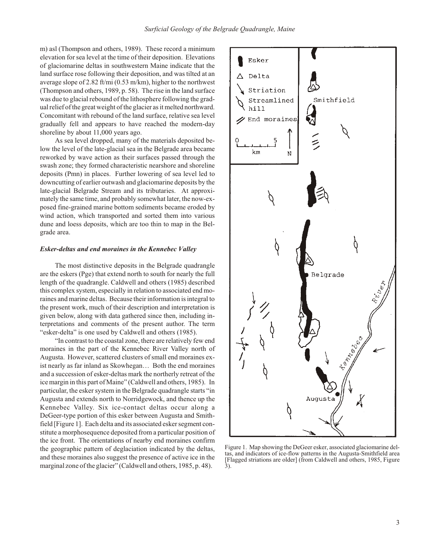m) asl (Thompson and others, 1989). These record a minimum elevation for sea level at the time of their deposition. Elevations of glaciomarine deltas in southwestern Maine indicate that the land surface rose following their deposition, and was tilted at an average slope of 2.82 ft/mi  $(0.53 \text{ m/km})$ , higher to the northwest (Thompson and others, 1989, p. 58). The rise in the land surface was due to glacial rebound of the lithosphere following the gradual relief of the great weight of the glacier as it melted northward. Concomitant with rebound of the land surface, relative sea level gradually fell and appears to have reached the modern-day shoreline by about 11,000 years ago.

As sea level dropped, many of the materials deposited below the level of the late-glacial sea in the Belgrade area became reworked by wave action as their surfaces passed through the swash zone; they formed characteristic nearshore and shoreline deposits (Pmn) in places. Further lowering of sea level led to downcutting of earlier outwash and glaciomarine deposits by the late-glacial Belgrade Stream and its tributaries. At approximately the same time, and probably somewhat later, the now-exposed fine-grained marine bottom sediments became eroded by wind action, which transported and sorted them into various dune and loess deposits, which are too thin to map in the Belgrade area.

#### *Esker-deltas and end mo raines in the Kennebec Valley*

The most distinctive deposits in the Belgrade quadrangle are the eskers (Pge) that ex tend north to south for nearly the full length of the quadrangle. Caldwell and others (1985) described this complex system, especially in relation to associated end moraines and marine deltas. Because their information is integral to the present work, much of their description and interpretation is given below, along with data gathered since then, including interpretations and comments of the present author. The term "esker-delta" is one used by Caldwell and others (1985).

"In contrast to the coastal zone, there are relatively few end moraines in the part of the Kennebec River Valley north of Augusta. However, scattered clusters of small end moraines exist nearly as far inland as Skowhegan... Both the end moraines and a succession of esker-deltas mark the northerly retreat of the ice margin in this part of Maine" (Caldwell and others, 1985). In particular, the esker system in the Belgrade quadrangle starts "in Augusta and ex tends north to Norridgewock, and thence up the Kennebec Valley. Six ice-contact deltas occur along a DeGeer-type portion of this esker between Augusta and Smithfield [Figure 1]. Each delta and its associated esker segment constitute a morphosequence deposited from a particular position of the ice front. The orientations of nearby end moraines confirm the geographic pattern of deglaciation indicated by the deltas, and these moraines also suggest the presence of active ice in the marginal zone of the glacier" (Caldwell and others, 1985, p. 48).



Figure 1. Map showing the DeGeer esker, associated glaciomarine deltas, and indicators of ice-flow patterns in the Augusta-Smith field area [Flagged striations are older] (from Caldwell and others, 1985, Figure 3).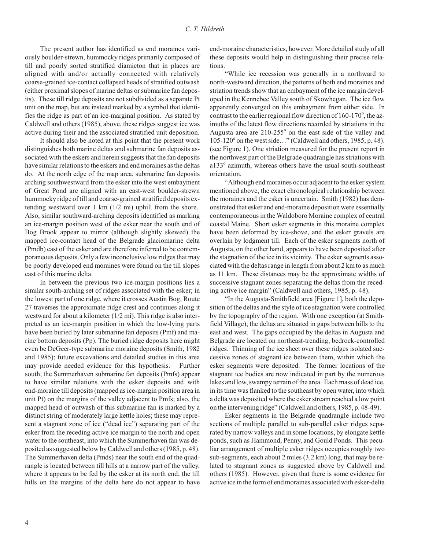The present author has identified as end moraines variously boulder-strewn, hummocky ridges primarily composed of till and poorly sorted stratified diamicton that in places are aligned with and/or actually connected with relatively coarse-grained ice-contact collapsed heads of stratified outwash (either proximal slopes of marine deltas or submarine fan deposits). These till ridge deposits are not subdivided as a separate Pt unit on the map, but are instead marked by a symbol that identifies the ridge as part of an ice-marginal position. As stated by Caldwell and others (1985), above, these ridges suggest ice was active during their and the associated stratified unit deposition.

It should also be noted at this point that the present work distinguishes both marine deltas and submarine fan deposits associated with the eskers and herein suggests that the fan deposits have similar relations to the eskers and end moraines as the deltas do. At the north edge of the map area, submarine fan deposits arching southwestward from the esker into the west embayment of Great Pond are aligned with an east-west boulder-strewn hummocky ridge of till and coarse-grained stratified deposits extending westward over 1 km  $(1/2 \text{ mi})$  uphill from the shore. Also, similar southward-arching deposits identified as marking an ice-margin position west of the esker near the south end of Bog Brook appear to mirror (although slightly skewed) the mapped ice-contact head of the Belgrade glaciomarine delta (Pmdb) east of the esker and are therefore inferred to be contemporaneous deposits. Only a few inconclusive low ridges that may be poorly developed end moraines were found on the till slopes east of this marine delta.

In between the previous two ice-margin positions lies a similar south-arching set of ridges associated with the esker; in the low est part of one ridge, where it crosses Austin Bog, Route 27 traverses the approximate ridge crest and continues along it westward for about a kilometer  $(1/2 \text{ mi})$ . This ridge is also interpreted as an ice-margin position in which the low-lying parts have been buried by later submarine fan deposits (Pmf) and marine bottom deposits  $(Pp)$ . The buried ridge deposits here might even be DeGeer-type submarine moraine deposits (Smith, 1982) and 1985); future excavations and detailed studies in this area may provide needed evidence for this hypothesis. Further south, the Summerhaven submarine fan deposits (Pmfs) appear to have similar relations with the esker deposits and with end-moraine till deposits (mapped as ice-margin position area in unit Pt) on the margins of the valley adjacent to Pmfs; also, the mapped head of outwash of this submarine fan is marked by a distinct string of moderately large kettle holes; these may represent a stagnant zone of ice ("dead ice") separating part of the esker from the receding active ice margin to the north and open water to the southeast, into which the Summerhaven fan was deposited as suggested below by Caldwell and others (1985, p. 48). The Summerhaven delta (Pmds) near the south end of the quadrangle is located between till hills at a narrow part of the valley, where it appears to be fed by the esker at its north end; the till hills on the margins of the delta here do not appear to have

end-moraine characteristics, however. More detailed study of all these deposits would help in distinguishing their precise relations.

"While ice recession was generally in a northward to north-westward direction, the patterns of both end moraines and striation trends show that an embayment of the ice margin developed in the Kennebec Valley south of Skowhegan. The ice flow apparently converged on this embayment from either side. In contrast to the earlier regional flow direction of  $160-170^\circ$ , the azimuths of the latest flow directions recorded by striations in the Augusta area are  $210-255^\circ$  on the east side of the valley and 105-120° on the west side..." (Caldwell and others, 1985, p. 48). (see Figure 1). One striation measured for the present report in the northwest part of the Belgrade quadrangle has striations with a133° azimuth, whereas others have the usual south-southeast orientation.

"Although end moraines occur adjacent to the esker system mentioned above, the exact chronological relationship between the moraines and the esker is uncertain. Smith (1982) has demon strated that esker and end-moraine deposition were essentially con temporaneous in the Waldoboro Moraine complex of central coastal Maine. Short esker segments in this moraine complex have been deformed by ice-shove, and the esker gravels are overlain by lodgment till. Each of the esker segments north of Augusta, on the other hand, appears to have been deposited after the stagnation of the ice in its vicinity. The esker segments as sociated with the deltas range in length from about 2 km to as much as 11 km. These distances may be the approximate widths of successive stagnant zones separating the deltas from the receding active ice margin" (Caldwell and others, 1985, p. 48).

"In the Augusta-Smith field area [Figure 1], both the deposition of the deltas and the style of ice stagnation were controlled by the topography of the region. With one exception (at Smithfield Village), the deltas are situated in gaps between hills to the east and west. The gaps occupied by the deltas in Augusta and Belgrade are located on northeast-trending, bedrock-controlled ridges. Thinning of the ice sheet over these ridges isolated successive zones of stagnant ice between them, within which the esker segments were deposited. The former locations of the stagnant ice bodies are now indicated in part by the numerous lakes and low, swampy terrain of the area. Each mass of dead ice, in its time was flanked to the southeast by open water, into which a delta was deposited where the esker stream reached a low point on the intervening ridge" (Caldwell and others, 1985, p. 48-49).

Esker segments in the Belgrade quadrangle include two sections of multiple parallel to sub-parallel esker ridges separated by narrow valleys and in some locations, by elongate kettle ponds, such as Hammond, Penny, and Gould Ponds. This peculiar arrangement of multiple esker ridges occupies roughly two sub-segments, each about 2 miles (3.2 km) long, that may be related to stagnant zones as suggested above by Caldwell and others (1985). However, given that there is some evidence for active ice in the form of end moraines associated with esker-delta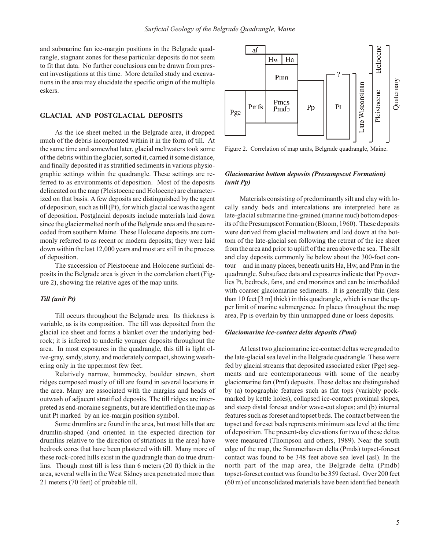and submarine fan ice-margin positions in the Belgrade quadrangle, stagnant zones for these particular deposits do not seem to fit that data. No further conclusions can be drawn from present investigations at this time. More detailed study and excavations in the area may elucidate the specific origin of the multiple eskers.

# **GLACIAL AND POSTGLACIAL DEPOSITS**

As the ice sheet melted in the Belgrade area, it dropped much of the debris incorporated within it in the form of till. At the same time and somewhat later, glacial meltwaters took some of the debris within the glacier, sorted it, carried it some distance, and finally deposited it as stratified sediments in various physiographic settings within the quadrangle. These settings are referred to as environments of deposition. Most of the deposits delineated on the map (Pleistocene and Holocene) are characterized on that basis. A few deposits are distinguished by the agent of deposition, such as till (Pt), for which glacial ice was the agent of deposition. Postglacial deposits include materials laid down since the glacier melted north of the Belgrade area and the sea receded from southern Maine. These Holocene deposits are commonly referred to as recent or modern deposits; they were laid down within the last 12,000 years and most are still in the process of deposition.

The succession of Pleistocene and Holocene surficial deposits in the Belgrade area is given in the correlation chart (Figure 2), showing the relative ages of the map units.

# *Till (unit Pt)*

Till occurs throughout the Belgrade area. Its thickness is variable, as is its composition. The till was deposited from the glacial ice sheet and forms a blanket over the underlying bedrock; it is inferred to underlie younger deposits throughout the area. In most exposures in the quadrangle, this till is light olive-gray, sandy, stony, and moderately compact, showing weathering only in the uppermost few feet.

Relatively narrow, hummocky, boulder strewn, short ridges composed mostly of till are found in several locations in the area. Many are associated with the margins and heads of outwash of adjacent stratified deposits. The till ridges are interpreted as end-moraine segments, but are identified on the map as unit Pt marked by an ice-margin position symbol.

Some drumlins are found in the area, but most hills that are drumlin-shaped (and oriented in the expected direction for drum lins relative to the direction of striations in the area) have bedrock cores that have been plastered with till. Many more of these rock-cored hills exist in the quadrangle than do true drumlins. Though most till is less than  $6$  meters  $(20 \text{ ft})$  thick in the area, several wells in the West Sidney area penetrated more than 21 meters (70 feet) of probable till.



Figure 2. Correlation of map units, Belgrade quadrangle, Maine.

# *Glaciomarine bottom deposits (Presumpscot Formation) (unit Pp)*

Materials consisting of predominantly silt and clay with locally sandy beds and intercalations are interpreted here as late-glacial submarine fine-grained (marine mud) bottom deposits of the Presumpscot Formation (Bloom, 1960). These deposits were derived from glacial meltwaters and laid down at the bottom of the late-glacial sea following the retreat of the ice sheet from the area and prior to uplift of the area above the sea. The silt and clay deposits commonly lie below about the 300-foot contour—and in many places, beneath units Ha, Hw, and Pmn in the quadrangle. Subsuface data and exposures indicate that Pp overlies Pt, bedrock, fans, and end moraines and can be interbedded with coarser glaciomarine sediments. It is generally thin (less than 10 feet  $[3 \text{ m}]$  thick) in this quadrangle, which is near the upper limit of marine submergence. In places throughout the map area, Pp is overlain by thin unmapped dune or loess deposits.

# *Glaciomarine ice-con tact delta de pos its (Pmd)*

At least two glaciomarine ice-contact deltas were graded to the late-glacial sea level in the Belgrade quadrangle. These were fed by glacial streams that deposited associated esker (Pge) segments and are contemporaneous with some of the nearby glaciomarine fan (Pmf) deposits. These deltas are distinguished by (a) topographic features such as flat tops (variably pockmarked by kettle holes), collapsed ice-contact proximal slopes, and steep distal foreset and/or wave-cut slopes; and (b) internal features such as foreset and topset beds. The contact between the topset and foreset beds represents minimum sea level at the time of deposition. The present-day elevations for two of these deltas were measured (Thompson and others, 1989). Near the south edge of the map, the Summerhaven delta (Pmds) topset-foreset contact was found to be 348 feet above sea level (asl). In the north part of the map area, the Belgrade delta (Pmdb) topset-foreset contact was found to be 359 feet asl. Over 200 feet  $(60 \text{ m})$  of unconsolidated materials have been identified beneath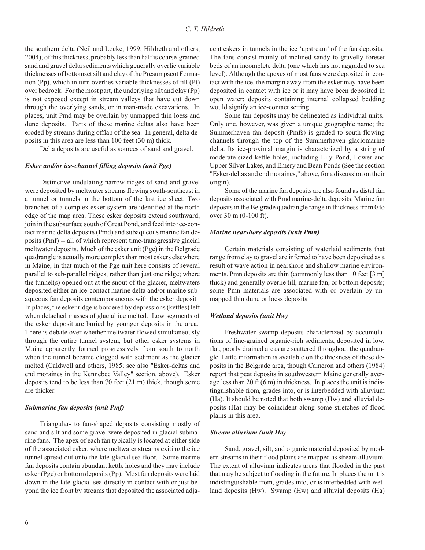the southern delta (Neil and Locke, 1999; Hildreth and others,  $2004$ ); of this thickness, probably less than half is coarse-grained sand and gravel delta sediments which generally overlie variable thicknesses of bottomset silt and clay of the Presumpscot Formation (Pp), which in turn overlies variable thicknesses of till (Pt) over bedrock. For the most part, the underlying silt and clay  $(Pp)$ is not exposed except in stream valleys that have cut down through the overlying sands, or in man-made excavations. In places, unit Pmd may be overlain by unmapped thin loess and dune deposits. Parts of these marine deltas also have been eroded by streams during offlap of the sea. In general, delta deposits in this area are less than 100 feet (30 m) thick.

Delta deposits are useful as sources of sand and gravel.

# *Esker and/or ice-channel filling deposits (unit Pge)*

Distinctive undulating narrow ridges of sand and gravel were deposited by meltwater streams flowing south-southeast in a tunnel or tunnels in the bottom of the last ice sheet. Two branches of a complex esker system are identified at the north edge of the map area. These esker deposits extend southward, join in the subsurface south of Great Pond, and feed into ice-contact marine delta deposits (Pmd) and subaqueous marine fan deposits (Pmf) -- all of which represent time-transgressive glacial meltwater deposits. Much of the esker unit (Pge) in the Belgrade quadrangle is actually more complex than most eskers elsewhere in Maine, in that much of the Pge unit here consists of several parallel to sub-parallel ridges, rather than just one ridge; where the tunnel(s) opened out at the snout of the glacier, meltwaters deposited either an ice-contact marine delta and/or marine subaque ous fan deposits con tem por ane ous with the esker deposit. In places, the esker ridge is bordered by depressions (kettles) left when detached masses of glacial ice melted. Low segments of the esker deposit are buried by younger deposits in the area. There is debate over whether meltwater flowed simultaneously through the entire tunnel system, but other esker systems in Maine apparently formed progressively from south to north when the tunnel became clogged with sediment as the glacier melted (Caldwell and others, 1985; see also "Esker-deltas and end moraines in the Kennebec Valley" section, above). Esker deposits tend to be less than 70 feet  $(21 \text{ m})$  thick, though some are thicker.

#### *Subma rine fan depos its (unit Pmf)*

Triangular- to fan-shaped deposits consisting mostly of sand and silt and some gravel were deposited in glacial submarine fans. The apex of each fan typically is located at either side of the associated esker, where meltwater streams exiting the ice tunnel spread out onto the late-glacial sea floor. Some marine fan deposits contain abundant kettle holes and they may include esker (Pge) or bottom deposits (Pp). Most fan deposits were laid down in the late-glacial sea directly in contact with or just beyond the ice front by streams that deposited the associated adjacent eskers in tunnels in the ice 'upstream' of the fan deposits. The fans consist mainly of inclined sandy to gravelly foreset beds of an incomplete delta (one which has not aggraded to sea level). Although the apexes of most fans were deposited in contact with the ice, the margin away from the esker may have been deposited in contact with ice or it may have been deposited in open water; deposits containing internal collapsed bedding would signify an ice-contact setting.

Some fan deposits may be delineated as individual units. Only one, however, was given a unique geographic name; the Summerhaven fan deposit (Pmfs) is graded to south-flowing channels through the top of the Summerhaven glaciomarine delta. Its ice-proximal margin is characterized by a string of moderate-sized kettle holes, including Lily Pond, Lower and Upper Silver Lakes, and Emery and Bean Ponds (See the section "Esker-deltas and end moraines," above, for a discussion on their origin).

Some of the marine fan deposits are also found as distal fan deposits associated with Pmd marine-delta deposits. Marine fan deposits in the Belgrade quadrangle range in thickness from 0 to over 30 m (0-100 ft).

#### *Ma rine nearshore de pos its (unit Pmn)*

Certain materials consisting of waterlaid sediments that range from clay to gravel are inferred to have been deposited as a result of wave action in nearshore and shallow marine environments. Pmn deposits are thin (commonly less than 10 feet  $[3 \text{ m}]$ thick) and generally overlie till, marine fan, or bottom deposits; some Pmn materials are associated with or overlain by unmapped thin dune or loess deposits.

#### *Wetland deposits (unit Hw)*

Freshwater swamp deposits characterized by accumulations of fine-grained organic-rich sediments, deposited in low, flat, poorly drained areas are scattered throughout the quadrangle. Little information is available on the thickness of these deposits in the Belgrade area, though Cameron and others (1984) report that peat deposits in southwestern Maine generally average less than 20 ft  $(6 \text{ m})$  in thickness. In places the unit is indistinguishable from, grades into, or is interbedded with alluvium  $(Ha)$ . It should be noted that both swamp  $(Hw)$  and alluvial deposits (Ha) may be coincident along some stretches of flood plains in this area.

#### **Stream alluvium (unit Ha)**

Sand, gravel, silt, and organic material deposited by modern streams in their flood plains are mapped as stream alluvium. The extent of alluvium indicates areas that flooded in the past that may be subject to flooding in the future. In places the unit is indistinguishable from, grades into, or is interbedded with wetland deposits (Hw). Swamp (Hw) and alluvial deposits (Ha)